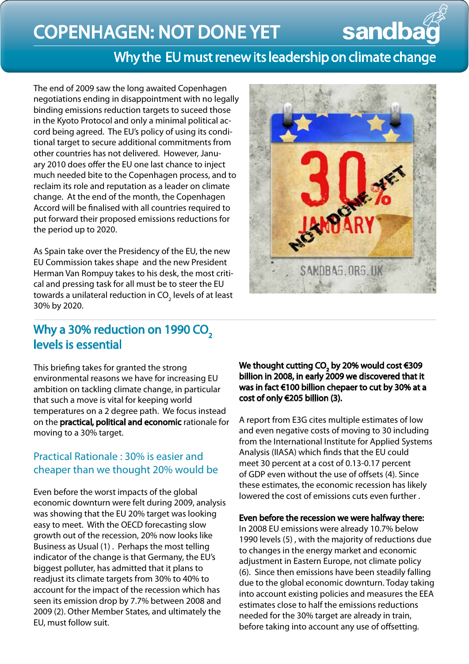# Copenhagen: not done yet

# Why the EU must renew its leadership on climate change

The end of 2009 saw the long awaited Copenhagen negotiations ending in disappointment with no legally binding emissions reduction targets to suceed those in the Kyoto Protocol and only a minimal political accord being agreed. The EU's policy of using its conditional target to secure additional commitments from other countries has not delivered. However, January 2010 does offer the EU one last chance to inject much needed bite to the Copenhagen process, and to reclaim its role and reputation as a leader on climate change. At the end of the month, the Copenhagen Accord will be finalised with all countries required to put forward their proposed emissions reductions for the period up to 2020.

As Spain take over the Presidency of the EU, the new EU Commission takes shape and the new President Herman Van Rompuy takes to his desk, the most critical and pressing task for all must be to steer the EU towards a unilateral reduction in CO $\rm _2$  levels of at least 30% by 2020.



sandba

## Why a 30% reduction on 1990 CO<sub>2</sub> levels is essential

This briefing takes for granted the strong environmental reasons we have for increasing EU ambition on tackling climate change, in particular that such a move is vital for keeping world temperatures on a 2 degree path. We focus instead on the practical, political and economic rationale for moving to a 30% target.

## Practical Rationale : 30% is easier and cheaper than we thought 20% would be

Even before the worst impacts of the global economic downturn were felt during 2009, analysis was showing that the EU 20% target was looking easy to meet. With the OECD forecasting slow growth out of the recession, 20% now looks like Business as Usual (1) . Perhaps the most telling indicator of the change is that Germany, the EU's biggest polluter, has admitted that it plans to readjust its climate targets from 30% to 40% to account for the impact of the recession which has seen its emission drop by 7.7% between 2008 and 2009 (2). Other Member States, and ultimately the EU, must follow suit.

We thought cutting CO<sub>2</sub> by 20% would cost €309 billion in 2008, in early 2009 we discovered that it was in fact €100 billion chepaer to cut by 30% at a cost of only €205 billion (3).

A report from E3G cites multiple estimates of low and even negative costs of moving to 30 including from the International Institute for Applied Systems Analysis (IIASA) which finds that the EU could meet 30 percent at a cost of 0.13-0.17 percent of GDP even without the use of offsets (4). Since these estimates, the economic recession has likely lowered the cost of emissions cuts even further .

#### Even before the recession we were halfway there:

In 2008 EU emissions were already 10.7% below 1990 levels (5) , with the majority of reductions due to changes in the energy market and economic adjustment in Eastern Europe, not climate policy (6). Since then emissions have been steadily falling due to the global economic downturn. Today taking into account existing policies and measures the EEA estimates close to half the emissions reductions needed for the 30% target are already in train, before taking into account any use of offsetting.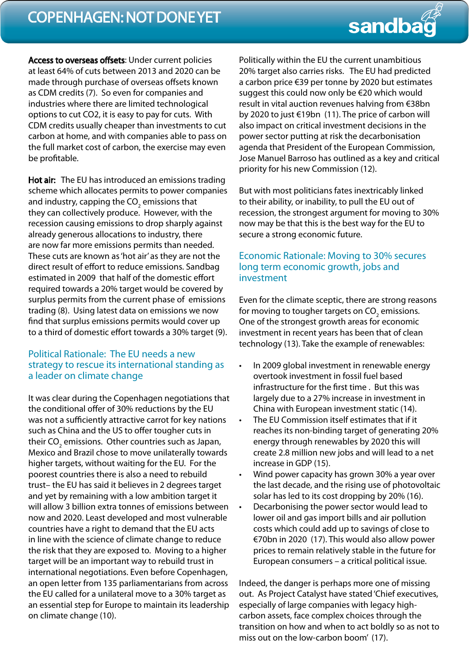## COPENHAGEN: NOT DONE YET

# sandbag

Access to overseas offsets: Under current policies at least 64% of cuts between 2013 and 2020 can be made through purchase of overseas offsets known as CDM credits (7). So even for companies and industries where there are limited technological options to cut CO2, it is easy to pay for cuts. With CDM credits usually cheaper than investments to cut carbon at home, and with companies able to pass on the full market cost of carbon, the exercise may even be profitable.

Hot air: The EU has introduced an emissions trading scheme which allocates permits to power companies and industry, capping the CO<sub>2</sub> emissions that they can collectively produce. However, with the recession causing emissions to drop sharply against already generous allocations to industry, there are now far more emissions permits than needed. These cuts are known as 'hot air' as they are not the direct result of effort to reduce emissions. Sandbag estimated in 2009 that half of the domestic effort required towards a 20% target would be covered by surplus permits from the current phase of emissions trading (8). Using latest data on emissions we now find that surplus emissions permits would cover up to a third of domestic effort towards a 30% target (9).

#### Political Rationale: The EU needs a new strategy to rescue its international standing as a leader on climate change

It was clear during the Copenhagen negotiations that the conditional offer of 30% reductions by the EU was not a sufficiently attractive carrot for key nations such as China and the US to offer tougher cuts in their CO<sub>2</sub> emissions. Other countries such as Japan, Mexico and Brazil chose to move unilaterally towards higher targets, without waiting for the EU. For the poorest countries there is also a need to rebuild trust– the EU has said it believes in 2 degrees target and yet by remaining with a low ambition target it will allow 3 billion extra tonnes of emissions between now and 2020. Least developed and most vulnerable countries have a right to demand that the EU acts in line with the science of climate change to reduce the risk that they are exposed to. Moving to a higher target will be an important way to rebuild trust in international negotiations. Even before Copenhagen, an open letter from 135 parliamentarians from across the EU called for a unilateral move to a 30% target as an essential step for Europe to maintain its leadership on climate change (10).

Politically within the EU the current unambitious 20% target also carries risks. The EU had predicted a carbon price €39 per tonne by 2020 but estimates suggest this could now only be €20 which would result in vital auction revenues halving from €38bn by 2020 to just €19bn (11). The price of carbon will also impact on critical investment decisions in the power sector putting at risk the decarbonisation agenda that President of the European Commission, Jose Manuel Barroso has outlined as a key and critical priority for his new Commission (12).

But with most politicians fates inextricably linked to their ability, or inability, to pull the EU out of recession, the strongest argument for moving to 30% now may be that this is the best way for the EU to secure a strong economic future.

#### Economic Rationale: Moving to 30% secures long term economic growth, jobs and investment

Even for the climate sceptic, there are strong reasons for moving to tougher targets on  $\mathsf{CO}_2$  emissions. One of the strongest growth areas for economic investment in recent years has been that of clean technology (13). Take the example of renewables:

- In 2009 global investment in renewable energy overtook investment in fossil fuel based infrastructure for the first time . But this was largely due to a 27% increase in investment in China with European investment static (14).
- The EU Commission itself estimates that if it reaches its non-binding target of generating 20% energy through renewables by 2020 this will create 2.8 million new jobs and will lead to a net increase in GDP (15).
- Wind power capacity has grown 30% a year over the last decade, and the rising use of photovoltaic solar has led to its cost dropping by 20% (16).
- Decarbonising the power sector would lead to lower oil and gas import bills and air pollution costs which could add up to savings of close to €70bn in 2020 (17). This would also allow power prices to remain relatively stable in the future for European consumers – a critical political issue.

Indeed, the danger is perhaps more one of missing out. As Project Catalyst have stated 'Chief executives, especially of large companies with legacy highcarbon assets, face complex choices through the transition on how and when to act boldly so as not to miss out on the low-carbon boom' (17).